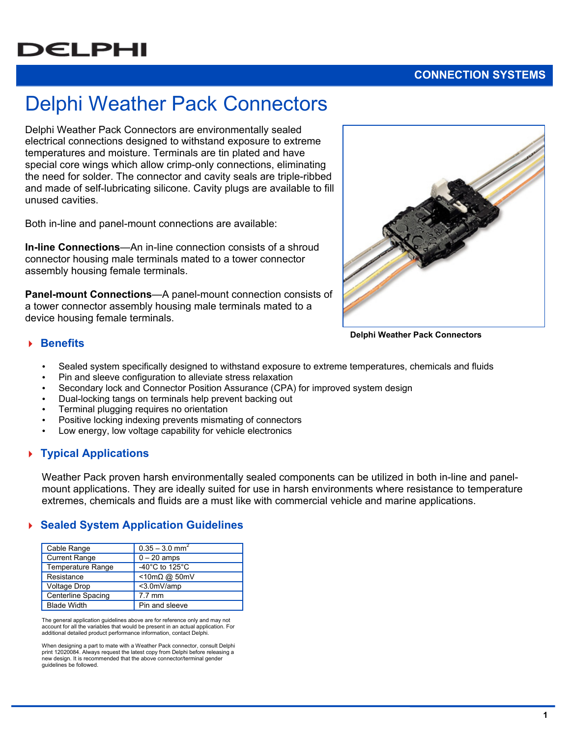# **DELPHI**

## **CONNECTION SYSTEMS**

# Delphi Weather Pack Connectors

Delphi Weather Pack Connectors are environmentally sealed electrical connections designed to withstand exposure to extreme temperatures and moisture. Terminals are tin plated and have special core wings which allow crimp-only connections, eliminating the need for solder. The connector and cavity seals are triple-ribbed and made of self-lubricating silicone. Cavity plugs are available to fill unused cavities.

Both in-line and panel-mount connections are available:

**In-line Connections**—An in-line connection consists of a shroud connector housing male terminals mated to a tower connector assembly housing female terminals.

**Panel-mount Connections**—A panel-mount connection consists of a tower connector assembly housing male terminals mated to a device housing female terminals.



**Delphi Weather Pack Connectors** 

#### **Benefits**

- Sealed system specifically designed to withstand exposure to extreme temperatures, chemicals and fluids
- Pin and sleeve configuration to alleviate stress relaxation
- Secondary lock and Connector Position Assurance (CPA) for improved system design
- Dual-locking tangs on terminals help prevent backing out
- Terminal plugging requires no orientation
- Positive locking indexing prevents mismating of connectors
- Low energy, low voltage capability for vehicle electronics

#### **Typical Applications**

Weather Pack proven harsh environmentally sealed components can be utilized in both in-line and panelmount applications. They are ideally suited for use in harsh environments where resistance to temperature extremes, chemicals and fluids are a must like with commercial vehicle and marine applications.

#### **Sealed System Application Guidelines**

| Cable Range               | $0.35 - 3.0$ mm <sup>2</sup> |
|---------------------------|------------------------------|
| <b>Current Range</b>      | $0 - 20$ amps                |
| Temperature Range         | -40°C to 125°C               |
| Resistance                | $<$ 10m $\Omega$ @ 50mV      |
| <b>Voltage Drop</b>       | <3.0mV/amp                   |
| <b>Centerline Spacing</b> | $7.7 \text{ mm}$             |
| <b>Blade Width</b>        | Pin and sleeve               |

The general application guidelines above are for reference only and may not account for all the variables that would be present in an actual application. For additional detailed product performance information, contact Delphi.

When designing a part to mate with a Weather Pack connector, consult Delphi print 12020084. Always request the latest copy from Delphi before releasing a new design. It is recommended that the above connector/terminal gender guidelines be followed.